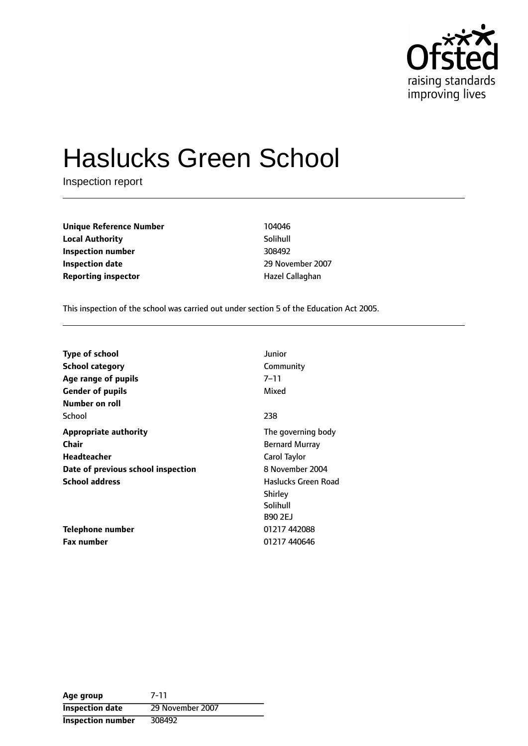

# Haslucks Green School

Inspection report

**Unique Reference Number** 104046 **Local Authority** Solihull **Inspection number** 308492 **Inspection date** 29 November 2007 **Reporting inspector According the Exercise Callaghan** 

This inspection of the school was carried out under section 5 of the Education Act 2005.

| <b>Type of school</b>              | Junior                |
|------------------------------------|-----------------------|
| School category                    | Community             |
| Age range of pupils                | $7 - 11$              |
| <b>Gender of pupils</b>            | Mixed                 |
| Number on roll                     |                       |
| School                             | 238                   |
| <b>Appropriate authority</b>       | The governing body    |
| Chair                              | <b>Bernard Murray</b> |
| <b>Headteacher</b>                 | Carol Taylor          |
| Date of previous school inspection | 8 November 2004       |
| <b>School address</b>              | Haslucks Green Road   |
|                                    | Shirley               |
|                                    | Solihull              |
|                                    | <b>B90 2EJ</b>        |
| Telephone number                   | 01217 442088          |
| <b>Fax number</b>                  | 01217 440646          |

**Age group** 7-11 **Inspection date** 29 November 2007 **Inspection number** 308492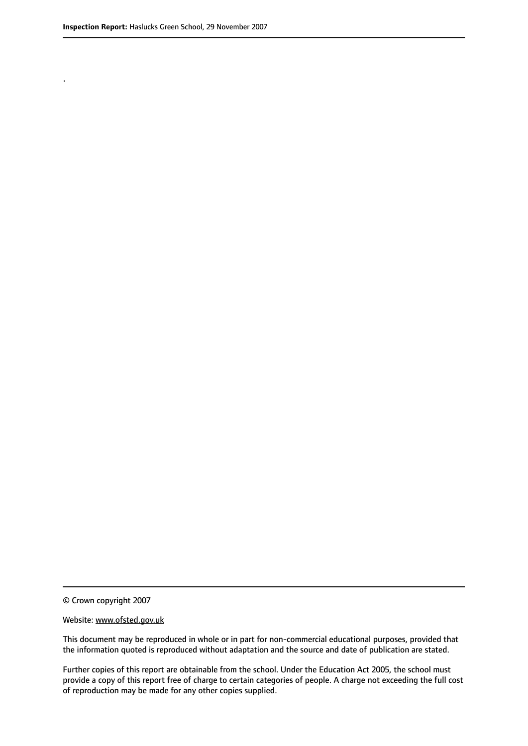.

© Crown copyright 2007

#### Website: www.ofsted.gov.uk

This document may be reproduced in whole or in part for non-commercial educational purposes, provided that the information quoted is reproduced without adaptation and the source and date of publication are stated.

Further copies of this report are obtainable from the school. Under the Education Act 2005, the school must provide a copy of this report free of charge to certain categories of people. A charge not exceeding the full cost of reproduction may be made for any other copies supplied.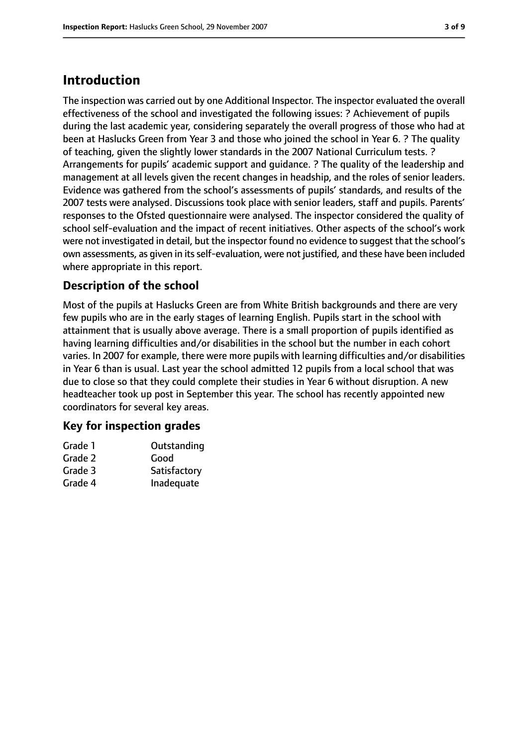## **Introduction**

The inspection was carried out by one Additional Inspector. The inspector evaluated the overall effectiveness of the school and investigated the following issues: ? Achievement of pupils during the last academic year, considering separately the overall progress of those who had at been at Haslucks Green from Year 3 and those who joined the school in Year 6. ? The quality of teaching, given the slightly lower standards in the 2007 National Curriculum tests. ? Arrangements for pupils' academic support and guidance. ? The quality of the leadership and management at all levels given the recent changes in headship, and the roles of senior leaders. Evidence was gathered from the school's assessments of pupils' standards, and results of the 2007 tests were analysed. Discussions took place with senior leaders, staff and pupils. Parents' responses to the Ofsted questionnaire were analysed. The inspector considered the quality of school self-evaluation and the impact of recent initiatives. Other aspects of the school's work were not investigated in detail, but the inspector found no evidence to suggest that the school's own assessments, as given in itsself-evaluation, were not justified, and these have been included where appropriate in this report.

## **Description of the school**

Most of the pupils at Haslucks Green are from White British backgrounds and there are very few pupils who are in the early stages of learning English. Pupils start in the school with attainment that is usually above average. There is a small proportion of pupils identified as having learning difficulties and/or disabilities in the school but the number in each cohort varies. In 2007 for example, there were more pupils with learning difficulties and/or disabilities in Year 6 than is usual. Last year the school admitted 12 pupils from a local school that was due to close so that they could complete their studies in Year 6 without disruption. A new headteacher took up post in September this year. The school has recently appointed new coordinators for several key areas.

#### **Key for inspection grades**

| Grade 1 | Outstanding  |
|---------|--------------|
| Grade 2 | Good         |
| Grade 3 | Satisfactory |
| Grade 4 | Inadequate   |
|         |              |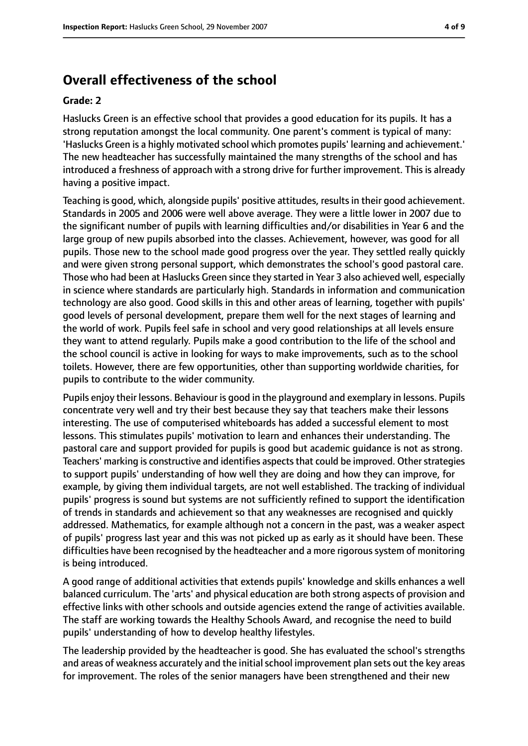## **Overall effectiveness of the school**

#### **Grade: 2**

Haslucks Green is an effective school that provides a good education for its pupils. It has a strong reputation amongst the local community. One parent's comment is typical of many: 'Haslucks Green is a highly motivated school which promotes pupils' learning and achievement.' The new headteacher has successfully maintained the many strengths of the school and has introduced a freshness of approach with a strong drive for further improvement. This is already having a positive impact.

Teaching is good, which, alongside pupils' positive attitudes, results in their good achievement. Standards in 2005 and 2006 were well above average. They were a little lower in 2007 due to the significant number of pupils with learning difficulties and/or disabilities in Year 6 and the large group of new pupils absorbed into the classes. Achievement, however, was good for all pupils. Those new to the school made good progress over the year. They settled really quickly and were given strong personal support, which demonstrates the school's good pastoral care. Those who had been at Haslucks Green since they started in Year 3 also achieved well, especially in science where standards are particularly high. Standards in information and communication technology are also good. Good skills in this and other areas of learning, together with pupils' good levels of personal development, prepare them well for the next stages of learning and the world of work. Pupils feel safe in school and very good relationships at all levels ensure they want to attend regularly. Pupils make a good contribution to the life of the school and the school council is active in looking for ways to make improvements, such as to the school toilets. However, there are few opportunities, other than supporting worldwide charities, for pupils to contribute to the wider community.

Pupils enjoy their lessons. Behaviour is good in the playground and exemplary in lessons. Pupils concentrate very well and try their best because they say that teachers make their lessons interesting. The use of computerised whiteboards has added a successful element to most lessons. This stimulates pupils' motivation to learn and enhances their understanding. The pastoral care and support provided for pupils is good but academic guidance is not as strong. Teachers' marking is constructive and identifies aspects that could be improved. Other strategies to support pupils' understanding of how well they are doing and how they can improve, for example, by giving them individual targets, are not well established. The tracking of individual pupils' progress is sound but systems are not sufficiently refined to support the identification of trends in standards and achievement so that any weaknesses are recognised and quickly addressed. Mathematics, for example although not a concern in the past, was a weaker aspect of pupils' progress last year and this was not picked up as early as it should have been. These difficulties have been recognised by the headteacher and a more rigorous system of monitoring is being introduced.

A good range of additional activities that extends pupils' knowledge and skills enhances a well balanced curriculum. The 'arts' and physical education are both strong aspects of provision and effective links with other schools and outside agencies extend the range of activities available. The staff are working towards the Healthy Schools Award, and recognise the need to build pupils' understanding of how to develop healthy lifestyles.

The leadership provided by the headteacher is good. She has evaluated the school's strengths and areas of weakness accurately and the initial school improvement plan sets out the key areas for improvement. The roles of the senior managers have been strengthened and their new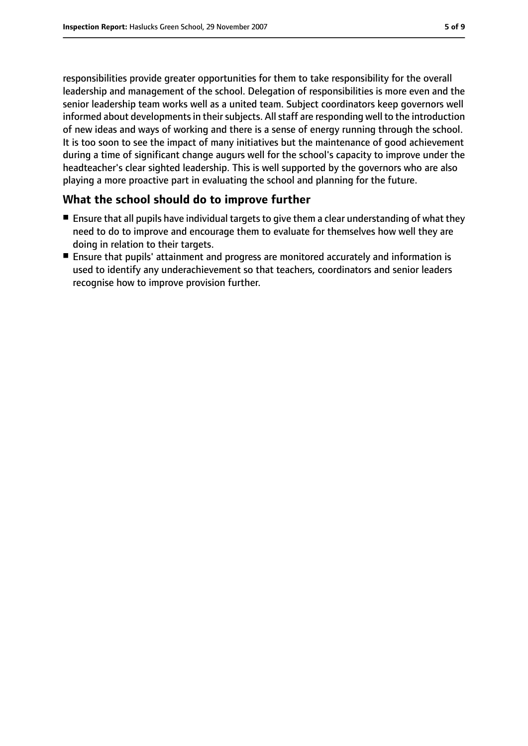responsibilities provide greater opportunities for them to take responsibility for the overall leadership and management of the school. Delegation of responsibilities is more even and the senior leadership team works well as a united team. Subject coordinators keep governors well informed about developments in their subjects. All staff are responding well to the introduction of new ideas and ways of working and there is a sense of energy running through the school. It is too soon to see the impact of many initiatives but the maintenance of good achievement during a time of significant change augurs well for the school's capacity to improve under the headteacher's clear sighted leadership. This is well supported by the governors who are also playing a more proactive part in evaluating the school and planning for the future.

#### **What the school should do to improve further**

- Ensure that all pupils have individual targets to give them a clear understanding of what they need to do to improve and encourage them to evaluate for themselves how well they are doing in relation to their targets.
- Ensure that pupils' attainment and progress are monitored accurately and information is used to identify any underachievement so that teachers, coordinators and senior leaders recognise how to improve provision further.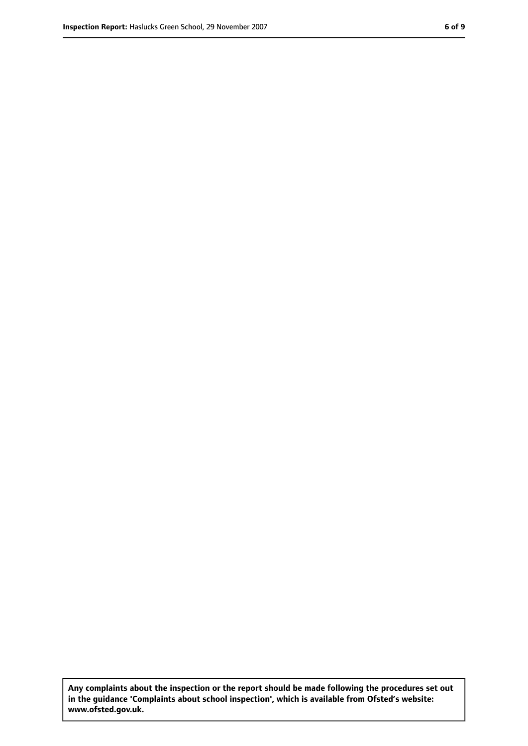**Any complaints about the inspection or the report should be made following the procedures set out in the guidance 'Complaints about school inspection', which is available from Ofsted's website: www.ofsted.gov.uk.**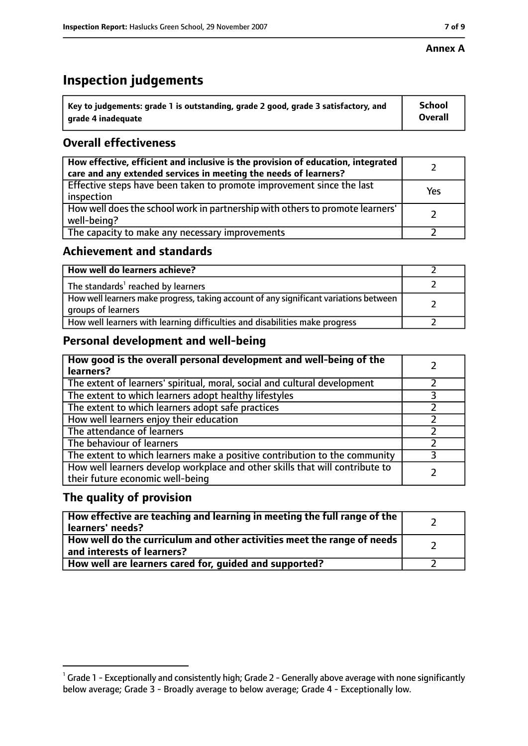#### **Annex A**

## **Inspection judgements**

| $^{\circ}$ Key to judgements: grade 1 is outstanding, grade 2 good, grade 3 satisfactory, and | <b>School</b>  |
|-----------------------------------------------------------------------------------------------|----------------|
| arade 4 inadequate                                                                            | <b>Overall</b> |

## **Overall effectiveness**

| How effective, efficient and inclusive is the provision of education, integrated<br>care and any extended services in meeting the needs of learners? |     |
|------------------------------------------------------------------------------------------------------------------------------------------------------|-----|
| Effective steps have been taken to promote improvement since the last<br>inspection                                                                  | Yes |
| How well does the school work in partnership with others to promote learners'<br>well-being?                                                         |     |
| The capacity to make any necessary improvements                                                                                                      |     |

## **Achievement and standards**

| How well do learners achieve?                                                                               |  |
|-------------------------------------------------------------------------------------------------------------|--|
| The standards <sup>1</sup> reached by learners                                                              |  |
| How well learners make progress, taking account of any significant variations between<br>groups of learners |  |
| How well learners with learning difficulties and disabilities make progress                                 |  |

## **Personal development and well-being**

| How good is the overall personal development and well-being of the<br>learners?                                  |   |
|------------------------------------------------------------------------------------------------------------------|---|
| The extent of learners' spiritual, moral, social and cultural development                                        |   |
| The extent to which learners adopt healthy lifestyles                                                            |   |
| The extent to which learners adopt safe practices                                                                |   |
| How well learners enjoy their education                                                                          |   |
| The attendance of learners                                                                                       |   |
| The behaviour of learners                                                                                        |   |
| The extent to which learners make a positive contribution to the community                                       | 3 |
| How well learners develop workplace and other skills that will contribute to<br>their future economic well-being |   |

### **The quality of provision**

| How effective are teaching and learning in meeting the full range of the<br>learners' needs?                     |  |
|------------------------------------------------------------------------------------------------------------------|--|
| How well do the curriculum and other activities meet the range of needs<br>$^{\rm t}$ and interests of learners? |  |
| How well are learners cared for, guided and supported?                                                           |  |

 $^1$  Grade 1 - Exceptionally and consistently high; Grade 2 - Generally above average with none significantly below average; Grade 3 - Broadly average to below average; Grade 4 - Exceptionally low.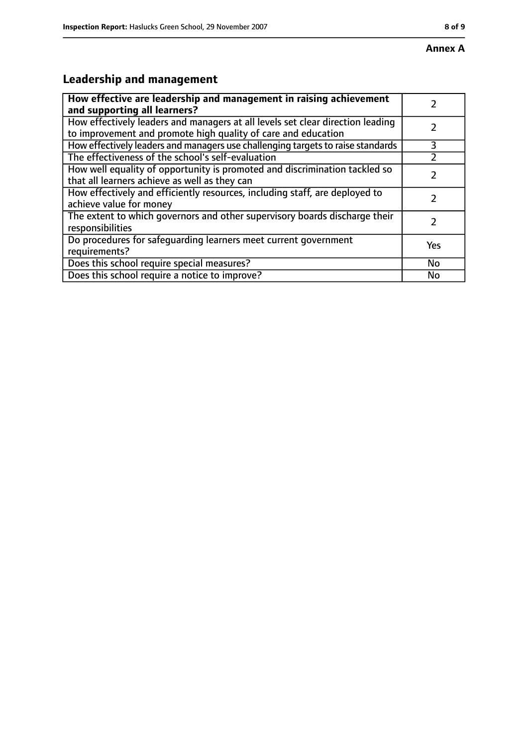## **Leadership and management**

| How effective are leadership and management in raising achievement<br>and supporting all learners?                                              |     |
|-------------------------------------------------------------------------------------------------------------------------------------------------|-----|
| How effectively leaders and managers at all levels set clear direction leading<br>to improvement and promote high quality of care and education |     |
| How effectively leaders and managers use challenging targets to raise standards                                                                 | 3   |
| The effectiveness of the school's self-evaluation                                                                                               |     |
| How well equality of opportunity is promoted and discrimination tackled so<br>that all learners achieve as well as they can                     |     |
| How effectively and efficiently resources, including staff, are deployed to<br>achieve value for money                                          |     |
| The extent to which governors and other supervisory boards discharge their<br>responsibilities                                                  |     |
| Do procedures for safequarding learners meet current government<br>requirements?                                                                | Yes |
| Does this school require special measures?                                                                                                      | No  |
| Does this school require a notice to improve?                                                                                                   | No  |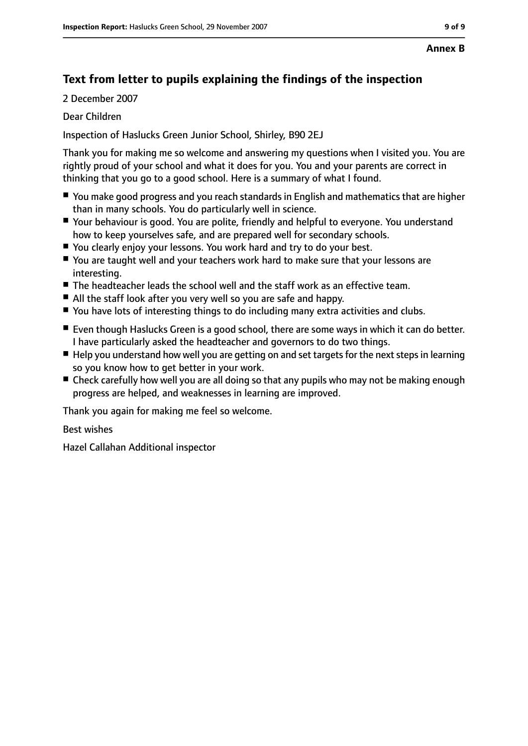## **Text from letter to pupils explaining the findings of the inspection**

2 December 2007

Dear Children

Inspection of Haslucks Green Junior School, Shirley, B90 2EJ

Thank you for making me so welcome and answering my questions when I visited you. You are rightly proud of your school and what it does for you. You and your parents are correct in thinking that you go to a good school. Here is a summary of what I found.

- You make good progress and you reach standards in English and mathematics that are higher than in many schools. You do particularly well in science.
- Your behaviour is good. You are polite, friendly and helpful to everyone. You understand how to keep yourselves safe, and are prepared well for secondary schools.
- You clearly enjoy your lessons. You work hard and try to do your best.
- You are taught well and your teachers work hard to make sure that your lessons are interesting.
- The headteacher leads the school well and the staff work as an effective team.
- All the staff look after you very well so you are safe and happy.
- You have lots of interesting things to do including many extra activities and clubs.
- Even though Haslucks Green is a good school, there are some ways in which it can do better. I have particularly asked the headteacher and governors to do two things.
- Help you understand how well you are getting on and set targets for the next steps in learning so you know how to get better in your work.
- Check carefully how well you are all doing so that any pupils who may not be making enough progress are helped, and weaknesses in learning are improved.

Thank you again for making me feel so welcome.

Best wishes

Hazel Callahan Additional inspector